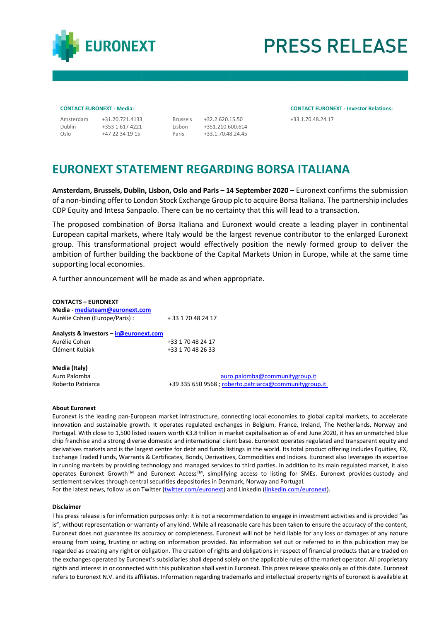

# **PRESS RELEASE**

| Amsterdam | $+31.20.$ |
|-----------|-----------|
| Dublin    | $+3531$   |
| Oslo      | $+4722$   |

617 4221 34 19 15

+351.210.600.614 +33.1.70.48.24.45

**CONTACT EURONEXT - Media: CONTACT EURONEXT - Investor Relations:** Amsterdam +31.20.721.4133 Brussels +32.2.620.15.50 +33.1.70.48.24.17

## **EURONEXT STATEMENT REGARDING BORSA ITALIANA**

Lisbon Paris

**Amsterdam, Brussels, Dublin, Lisbon, Oslo and Paris – 14 September 2020** – Euronext confirms the submission of a non-binding offer to London Stock Exchange Group plc to acquire Borsa Italiana. The partnership includes CDP Equity and Intesa Sanpaolo. There can be no certainty that this will lead to a transaction.

The proposed combination of Borsa Italiana and Euronext would create a leading player in continental European capital markets, where Italy would be the largest revenue contributor to the enlarged Euronext group. This transformational project would effectively position the newly formed group to deliver the ambition of further building the backbone of the Capital Markets Union in Europe, while at the same time supporting local economies.

A further announcement will be made as and when appropriate.

| <b>CONTACTS - EURONEXT</b>                                               |                                                        |  |  |
|--------------------------------------------------------------------------|--------------------------------------------------------|--|--|
| Media - mediateam@euronext.com                                           |                                                        |  |  |
| Aurélie Cohen (Europe/Paris) :<br>Analysts & investors - ir@euronext.com | + 33 1 70 48 24 17                                     |  |  |
|                                                                          |                                                        |  |  |
| Aurélie Cohen                                                            | +33 1 70 48 24 17                                      |  |  |
| Clément Kubiak                                                           | +33 1 70 48 26 33                                      |  |  |
| Media (Italy)                                                            |                                                        |  |  |
| Auro Palomba                                                             | auro.palomba@communitygroup.it                         |  |  |
| Roberto Patriarca                                                        | +39 335 650 9568 ; roberto.patriarca@communitygroup.it |  |  |

## **About Euronext**

Euronext is the leading pan-European market infrastructure, connecting local economies to global capital markets, to accelerate innovation and sustainable growth. It operates regulated exchanges in Belgium, France, Ireland, The Netherlands, Norway and Portugal. With close to 1,500 listed issuers worth €3.8 trillion in market capitalisation as of end June 2020, it has an unmatched blue chip franchise and a strong diverse domestic and international client base. Euronext operates regulated and transparent equity and derivatives markets and is the largest centre for debt and funds listings in the world. Its total product offering includes Equities, FX, Exchange Traded Funds, Warrants & Certificates, Bonds, Derivatives, Commodities and Indices. Euronext also leverages its expertise in running markets by providing technology and managed services to third parties. In addition to its main regulated market, it also operates Euronext GrowthTM and Euronext AccessTM, simplifying access to listing for SMEs. Euronext provides custody and settlement services through central securities depositories in Denmark, Norway and Portugal. For the latest news, follow us on Twitter [\(twitter.com/euronext\)](https://twitter.com/euronext) and LinkedIn [\(linkedin.com/euronext\)](https://www.linkedin.com/company/euronext).

### **Disclaimer**

This press release is for information purposes only: it is not a recommendation to engage in investment activities and is provided "as is", without representation or warranty of any kind. While all reasonable care has been taken to ensure the accuracy of the content, Euronext does not guarantee its accuracy or completeness. Euronext will not be held liable for any loss or damages of any nature ensuing from using, trusting or acting on information provided. No information set out or referred to in this publication may be regarded as creating any right or obligation. The creation of rights and obligations in respect of financial products that are traded on the exchanges operated by Euronext's subsidiaries shall depend solely on the applicable rules of the market operator. All proprietary rights and interest in or connected with this publication shall vest in Euronext. This press release speaks only as of this date. Euronext refers to Euronext N.V. and its affiliates. Information regarding trademarks and intellectual property rights of Euronext is available at